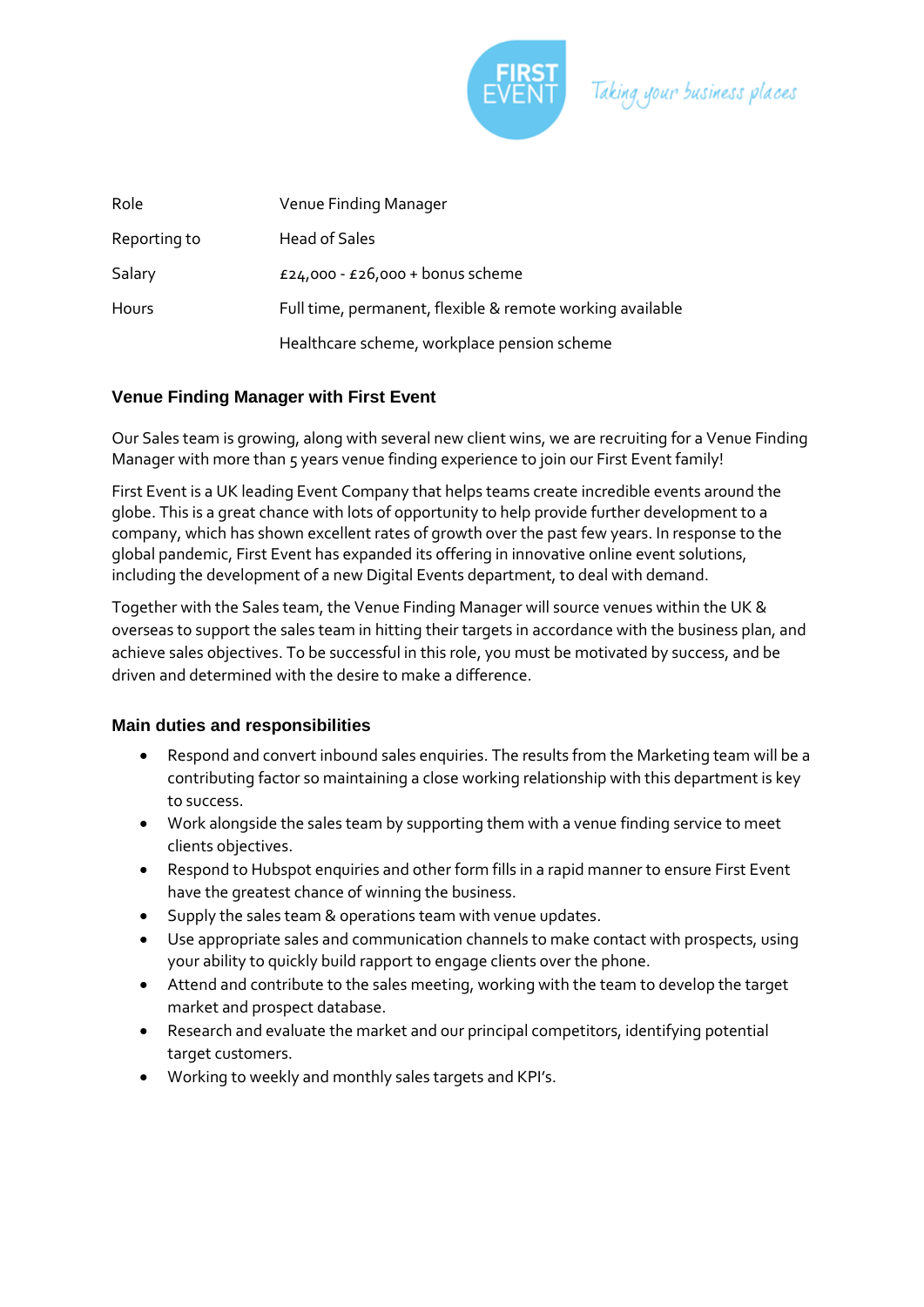

Taking your business places

| Role         | Venue Finding Manager                                     |
|--------------|-----------------------------------------------------------|
| Reporting to | Head of Sales                                             |
| Salary       | £24,000 - £26,000 + bonus scheme                          |
| Hours        | Full time, permanent, flexible & remote working available |
|              | Healthcare scheme, workplace pension scheme               |

## **Venue Finding Manager with First Event**

Our Sales team is growing, along with several new client wins, we are recruiting for a Venue Finding Manager with more than 5 years venue finding experience to join our First Event family!

First Event is a UK leading Event Company that helps teams create incredible events around the globe. This is a great chance with lots of opportunity to help provide further development to a company, which has shown excellent rates of growth over the past few years. In response to the global pandemic, First Event has expanded its offering in innovative online event solutions, including the development of a new Digital Events department, to deal with demand.

Together with the Sales team, the Venue Finding Manager will source venues within the UK & overseas to support the sales team in hitting their targets in accordance with the business plan, and achieve sales objectives. To be successful in this role, you must be motivated by success, and be driven and determined with the desire to make a difference.

### **Main duties and responsibilities**

- Respond and convert inbound sales enquiries. The results from the Marketing team will be a contributing factor so maintaining a close working relationship with this department is key to success.
- Work alongside the sales team by supporting them with a venue finding service to meet clients objectives.
- Respond to Hubspot enquiries and other form fills in a rapid manner to ensure First Event have the greatest chance of winning the business.
- Supply the sales team & operations team with venue updates.
- Use appropriate sales and communication channels to make contact with prospects, using your ability to quickly build rapport to engage clients over the phone.
- Attend and contribute to the sales meeting, working with the team to develop the target market and prospect database.
- Research and evaluate the market and our principal competitors, identifying potential target customers.
- Working to weekly and monthly sales targets and KPI's.